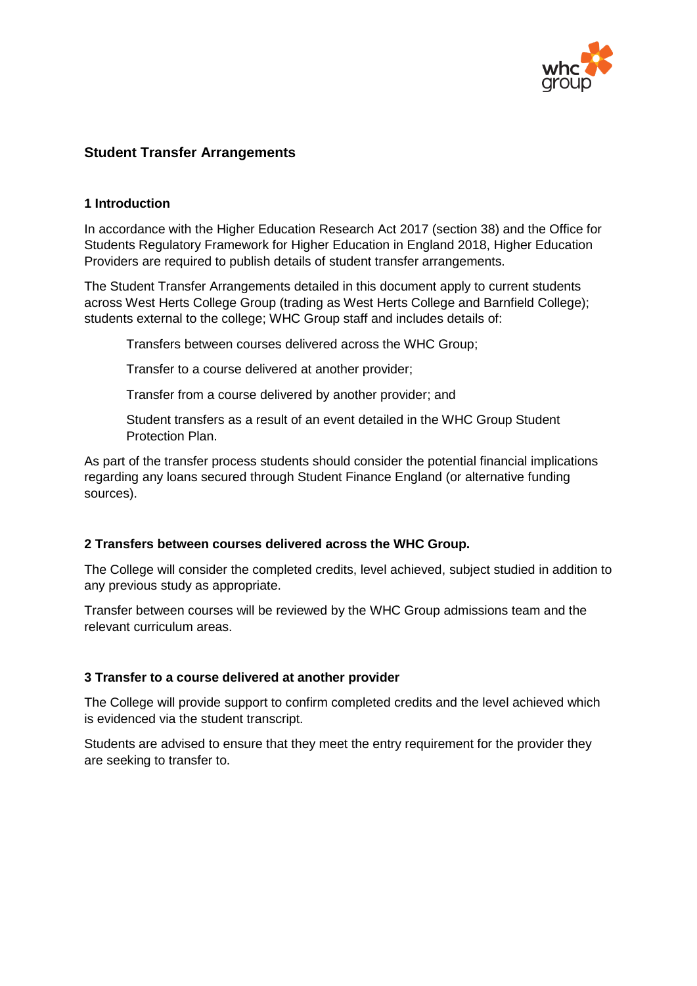

# **Student Transfer Arrangements**

#### **1 Introduction**

In accordance with the Higher Education Research Act 2017 (section 38) and the Office for Students Regulatory Framework for Higher Education in England 2018, Higher Education Providers are required to publish details of student transfer arrangements.

The Student Transfer Arrangements detailed in this document apply to current students across West Herts College Group (trading as West Herts College and Barnfield College); students external to the college; WHC Group staff and includes details of:

Transfers between courses delivered across the WHC Group;

Transfer to a course delivered at another provider;

Transfer from a course delivered by another provider; and

Student transfers as a result of an event detailed in the WHC Group Student Protection Plan.

As part of the transfer process students should consider the potential financial implications regarding any loans secured through Student Finance England (or alternative funding sources).

### **2 Transfers between courses delivered across the WHC Group.**

The College will consider the completed credits, level achieved, subject studied in addition to any previous study as appropriate.

Transfer between courses will be reviewed by the WHC Group admissions team and the relevant curriculum areas.

### **3 Transfer to a course delivered at another provider**

The College will provide support to confirm completed credits and the level achieved which is evidenced via the student transcript.

Students are advised to ensure that they meet the entry requirement for the provider they are seeking to transfer to.